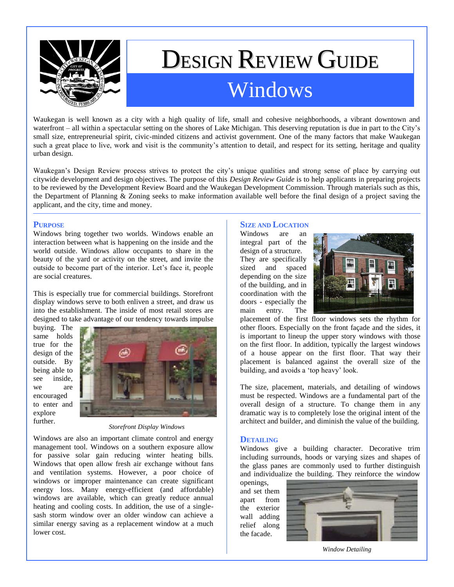

# DESIGN REVIEW GUIDE Windows

Waukegan is well known as a city with a high quality of life, small and cohesive neighborhoods, a vibrant downtown and waterfront – all within a spectacular setting on the shores of Lake Michigan. This deserving reputation is due in part to the City's small size, entrepreneurial spirit, civic-minded citizens and activist government. One of the many factors that make Waukegan such a great place to live, work and visit is the community's attention to detail, and respect for its setting, heritage and quality urban design.

Waukegan's Design Review process strives to protect the city's unique qualities and strong sense of place by carrying out citywide development and design objectives. The purpose of this *Design Review Guide* is to help applicants in preparing projects to be reviewed by the Development Review Board and the Waukegan Development Commission. Through materials such as this, the Department of Planning & Zoning seeks to make information available well before the final design of a project saving the applicant, and the city, time and money.

#### **PURPOSE**

Windows bring together two worlds. Windows enable an interaction between what is happening on the inside and the world outside. Windows allow occupants to share in the beauty of the yard or activity on the street, and invite the outside to become part of the interior. Let's face it, people are social creatures.

This is especially true for commercial buildings. Storefront display windows serve to both enliven a street, and draw us into the establishment. The inside of most retail stores are designed to take advantage of our tendency towards impulse

buying. The same holds true for the design of the outside. By being able to see inside, we are encouraged to enter and explore further.



*Storefront Display Windows*

Windows are also an important climate control and energy management tool. Windows on a southern exposure allow for passive solar gain reducing winter heating bills. Windows that open allow fresh air exchange without fans and ventilation systems. However, a poor choice of windows or improper maintenance can create significant energy loss. Many energy-efficient (and affordable) windows are available, which can greatly reduce annual heating and cooling costs. In addition, the use of a singlesash storm window over an older window can achieve a similar energy saving as a replacement window at a much lower cost.

# **SIZE AND LOCATION**

Windows are an integral part of the design of a structure. They are specifically sized and spaced depending on the size of the building, and in coordination with the doors - especially the main entry. The



placement of the first floor windows sets the rhythm for other floors. Especially on the front façade and the sides, it is important to lineup the upper story windows with those on the first floor. In addition, typically the largest windows of a house appear on the first floor. That way their placement is balanced against the overall size of the building, and avoids a 'top heavy' look.

The size, placement, materials, and detailing of windows must be respected. Windows are a fundamental part of the overall design of a structure. To change them in any dramatic way is to completely lose the original intent of the architect and builder, and diminish the value of the building.

#### **DETAILING**

Windows give a building character. Decorative trim including surrounds, hoods or varying sizes and shapes of the glass panes are commonly used to further distinguish and individualize the building. They reinforce the window

openings, and set them apart from the exterior wall adding relief along the facade.



*Window Detailing*